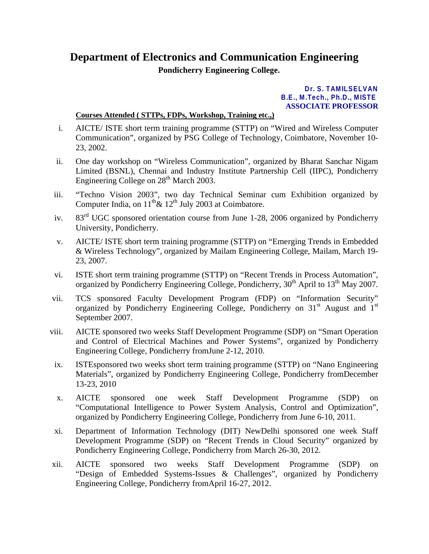## **Department of Electronics and Communication Engineering**

**Pondicherry Engineering College.**

## **Dr. S. TAMILSELVAN B.E., M.Tech., Ph.D., MISTE ASSOCIATE PROFESSOR**

## **Courses Attended ( STTPs, FDPs, Workshop, Training etc.,)**

- i. AICTE/ ISTE short term training programme (STTP) on "Wired and Wireless Computer Communication", organized by PSG College of Technology, Coimbatore, November 10- 23, 2002.
- ii. One day workshop on "Wireless Communication", organized by Bharat Sanchar Nigam Limited (BSNL), Chennai and Industry Institute Partnership Cell (IIPC), Pondicherry Engineering College on  $28<sup>th</sup>$  March 2003.
- iii. "Techno Vision 2003", two day Technical Seminar cum Exhibition organized by Computer India, on  $11^{th}$ &  $12^{th}$  July 2003 at Coimbatore.
- iv. 83<sup>rd</sup> UGC sponsored orientation course from June 1-28, 2006 organized by Pondicherry University, Pondicherry.
- v. AICTE/ ISTE short term training programme (STTP) on "Emerging Trends in Embedded & Wireless Technology", organized by Mailam Engineering College, Mailam, March 19- 23, 2007.
- vi. ISTE short term training programme (STTP) on "Recent Trends in Process Automation", organized by Pondicherry Engineering College, Pondicherry,  $30<sup>th</sup>$  April to  $13<sup>th</sup>$  May 2007.
- vii. TCS sponsored Faculty Development Program (FDP) on "Information Security" organized by Pondicherry Engineering College, Pondicherry on  $31<sup>st</sup>$  August and  $1<sup>st</sup>$ September 2007.
- viii. AICTE sponsored two weeks Staff Development Programme (SDP) on "Smart Operation and Control of Electrical Machines and Power Systems", organized by Pondicherry Engineering College, Pondicherry fromJune 2-12, 2010.
- ix. ISTEsponsored two weeks short term training programme (STTP) on "Nano Engineering Materials", organized by Pondicherry Engineering College, Pondicherry fromDecember 13-23, 2010
- x. AICTE sponsored one week Staff Development Programme (SDP) on "Computational Intelligence to Power System Analysis, Control and Optimization", organized by Pondicherry Engineering College, Pondicherry from June 6-10, 2011.
- xi. Department of Information Technology (DIT) NewDelhi sponsored one week Staff Development Programme (SDP) on "Recent Trends in Cloud Security" organized by Pondicherry Engineering College, Pondicherry from March 26-30, 2012.
- xii. AICTE sponsored two weeks Staff Development Programme (SDP) on "Design of Embedded Systems-Issues & Challenges", organized by Pondicherry Engineering College, Pondicherry fromApril 16-27, 2012.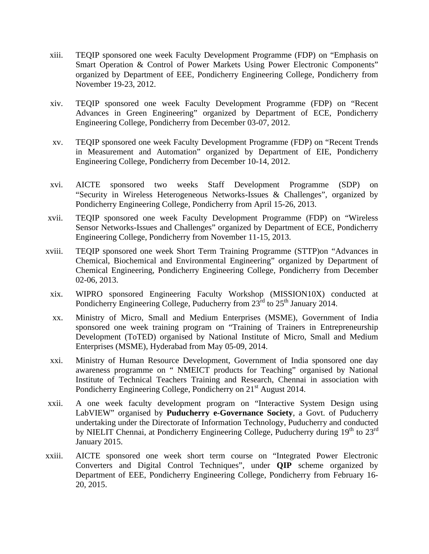- xiii. TEQIP sponsored one week Faculty Development Programme (FDP) on "Emphasis on Smart Operation & Control of Power Markets Using Power Electronic Components" organized by Department of EEE, Pondicherry Engineering College, Pondicherry from November 19-23, 2012.
- xiv. TEQIP sponsored one week Faculty Development Programme (FDP) on "Recent Advances in Green Engineering" organized by Department of ECE, Pondicherry Engineering College, Pondicherry from December 03-07, 2012.
- xv. TEQIP sponsored one week Faculty Development Programme (FDP) on "Recent Trends in Measurement and Automation" organized by Department of EIE, Pondicherry Engineering College, Pondicherry from December 10-14, 2012.
- xvi. AICTE sponsored two weeks Staff Development Programme (SDP) on "Security in Wireless Heterogeneous Networks-Issues & Challenges", organized by Pondicherry Engineering College, Pondicherry from April 15-26, 2013.
- xvii. TEQIP sponsored one week Faculty Development Programme (FDP) on "Wireless Sensor Networks-Issues and Challenges" organized by Department of ECE, Pondicherry Engineering College, Pondicherry from November 11-15, 2013.
- xviii. TEQIP sponsored one week Short Term Training Programme (STTP)on "Advances in Chemical, Biochemical and Environmental Engineering" organized by Department of Chemical Engineering, Pondicherry Engineering College, Pondicherry from December 02-06, 2013.
- xix. WIPRO sponsored Engineering Faculty Workshop (MISSION10X) conducted at Pondicherry Engineering College, Puducherry from  $23^{\text{rd}}$  to  $25^{\text{th}}$  January 2014.
- xx. Ministry of Micro, Small and Medium Enterprises (MSME), Government of India sponsored one week training program on "Training of Trainers in Entrepreneurship Development (ToTED) organised by National Institute of Micro, Small and Medium Enterprises (MSME), Hyderabad from May 05-09, 2014.
- xxi. Ministry of Human Resource Development, Government of India sponsored one day awareness programme on " NMEICT products for Teaching" organised by National Institute of Technical Teachers Training and Research, Chennai in association with Pondicherry Engineering College, Pondicherry on 21<sup>st</sup> August 2014.
- xxii. A one week faculty development program on "Interactive System Design using LabVIEW" organised by **Puducherry e-Governance Society**, a Govt. of Puducherry undertaking under the Directorate of Information Technology, Puducherry and conducted by NIELIT Chennai, at Pondicherry Engineering College, Puducherry during  $19<sup>th</sup>$  to  $23<sup>rd</sup>$ January 2015.
- xxiii. AICTE sponsored one week short term course on "Integrated Power Electronic Converters and Digital Control Techniques", under **QIP** scheme organized by Department of EEE, Pondicherry Engineering College, Pondicherry from February 16- 20, 2015.